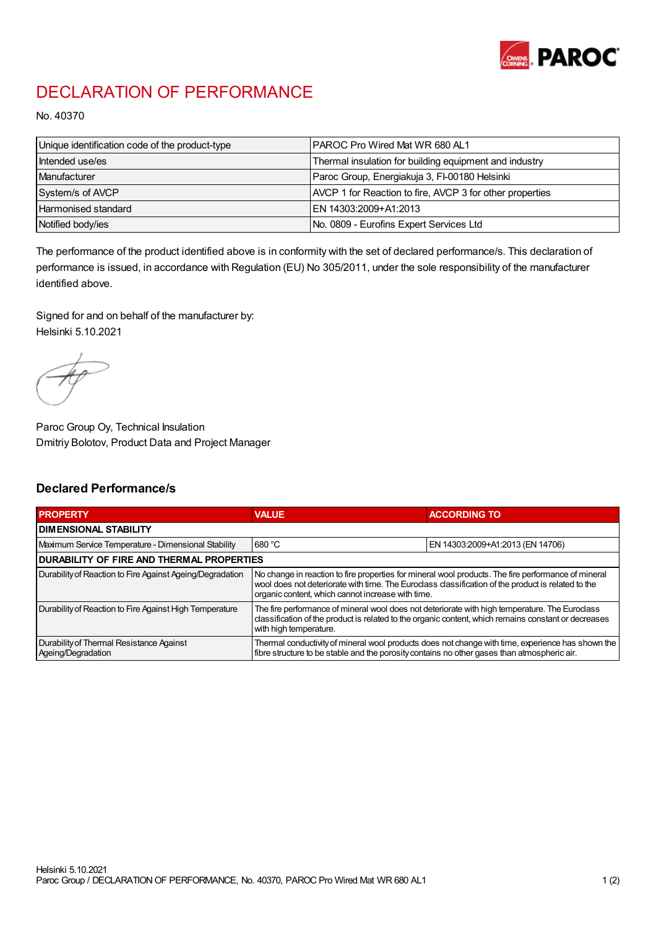

## DECLARATION OF PERFORMANCE

No. 40370

| Unique identification code of the product-type | IPAROC Pro Wired Mat WR 680 AL1                          |
|------------------------------------------------|----------------------------------------------------------|
| Intended use/es                                | Thermal insulation for building equipment and industry   |
| Manufacturer                                   | Paroc Group, Energiakuja 3, FI-00180 Helsinki            |
| System/s of AVCP                               | AVCP 1 for Reaction to fire, AVCP 3 for other properties |
| Harmonised standard                            | IEN 14303:2009+A1:2013                                   |
| Notified body/ies                              | No. 0809 - Eurofins Expert Services Ltd                  |

The performance of the product identified above is in conformity with the set of declared performance/s. This declaration of performance is issued, in accordance with Regulation (EU) No 305/2011, under the sole responsibility of the manufacturer identified above.

Signed for and on behalf of the manufacturer by: Helsinki 5.10.2021

Paroc Group Oy, Technical Insulation Dmitriy Bolotov, Product Data and Project Manager

## Declared Performance/s

| <b>PROPERTY</b>                                                | <b>VALUE</b>                                                                                                                                                                                                                                                   | <b>ACCORDING TO.</b>             |  |
|----------------------------------------------------------------|----------------------------------------------------------------------------------------------------------------------------------------------------------------------------------------------------------------------------------------------------------------|----------------------------------|--|
| <b>DIMENSIONAL STABILITY</b>                                   |                                                                                                                                                                                                                                                                |                                  |  |
| Maximum Service Temperature - Dimensional Stability            | 680 °C                                                                                                                                                                                                                                                         | EN 14303:2009+A1:2013 (EN 14706) |  |
| <b>DURABILITY OF FIRE AND THERMAL PROPERTIES</b>               |                                                                                                                                                                                                                                                                |                                  |  |
| Durability of Reaction to Fire Against Ageing/Degradation      | No change in reaction to fire properties for mineral wool products. The fire performance of mineral<br>wool does not deteriorate with time. The Euroclass classification of the product is related to the<br>organic content, which cannot increase with time. |                                  |  |
| Durability of Reaction to Fire Against High Temperature        | The fire performance of mineral wool does not deteriorate with high temperature. The Euroclass<br>classification of the product is related to the organic content, which remains constant or decreases<br>with high temperature.                               |                                  |  |
| Durability of Thermal Resistance Against<br>Ageing/Degradation | Thermal conductivity of mineral wool products does not change with time, experience has shown the<br>fibre structure to be stable and the porosity contains no other gases than atmospheric air.                                                               |                                  |  |